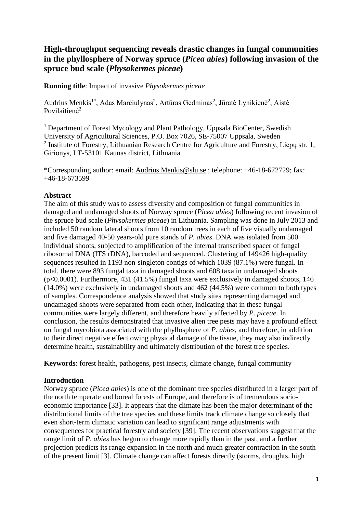# **High-throughput sequencing reveals drastic changes in fungal communities in the phyllosphere of Norway spruce (***Picea abies***) following invasion of the spruce bud scale (***Physokermes piceae***)**

**Running title**: Impact of invasive *Physokermes piceae*

Audrius Menkis<sup>1\*</sup>, Adas Marčiulynas<sup>2</sup>, Artūras Gedminas<sup>2</sup>, Jūratė Lynikienė<sup>2</sup>, Aistė Povilaitienė<sup>2</sup>

<sup>1</sup> Department of Forest Mycology and Plant Pathology, Uppsala BioCenter, Swedish University of Agricultural Sciences, P.O. Box 7026, SE-75007 Uppsala, Sweden <sup>2</sup> Institute of Forestry, Lithuanian Research Centre for Agriculture and Forestry, Liepų str. 1, Girionys, LT-53101 Kaunas district, Lithuania

\*Corresponding author: email: [Audrius.Menkis@slu.se](mailto:Audrius.Menkis@slu.se) ; telephone: +46-18-672729; fax: +46-18-673599

# **Abstract**

The aim of this study was to assess diversity and composition of fungal communities in damaged and undamaged shoots of Norway spruce (*Picea abies*) following recent invasion of the spruce bud scale (*Physokermes piceae*) in Lithuania. Sampling was done in July 2013 and included 50 random lateral shoots from 10 random trees in each of five visually undamaged and five damaged 40-50 years-old pure stands of *P. abies*. DNA was isolated from 500 individual shoots, subjected to amplification of the internal transcribed spacer of fungal ribosomal DNA (ITS rDNA), barcoded and sequenced. Clustering of 149426 high-quality sequences resulted in 1193 non-singleton contigs of which 1039 (87.1%) were fungal. In total, there were 893 fungal taxa in damaged shoots and 608 taxa in undamaged shoots (p<0.0001). Furthermore, 431 (41.5%) fungal taxa were exclusively in damaged shoots, 146 (14.0%) were exclusively in undamaged shoots and 462 (44.5%) were common to both types of samples. Correspondence analysis showed that study sites representing damaged and undamaged shoots were separated from each other, indicating that in these fungal communities were largely different, and therefore heavily affected by *P. piceae*. In conclusion, the results demonstrated that invasive alien tree pests may have a profound effect on fungal mycobiota associated with the phyllosphere of *P. abies*, and therefore, in addition to their direct negative effect owing physical damage of the tissue, they may also indirectly determine health, sustainability and ultimately distribution of the forest tree species.

**Keywords**: forest health, pathogens, pest insects, climate change, fungal community

# **Introduction**

Norway spruce (*Picea abies*) is one of the dominant tree species distributed in a larger part of the north temperate and boreal forests of Europe, and therefore is of tremendous socioeconomic importance [33]. It appears that the climate has been the major determinant of the distributional limits of the tree species and these limits track climate change so closely that even short-term climatic variation can lead to significant range adjustments with consequences for practical forestry and society [39]. The recent observations suggest that the range limit of *P. abies* has begun to change more rapidly than in the past, and a further projection predicts its range expansion in the north and much greater contraction in the south of the present limit [3]. Climate change can affect forests directly (storms, droughts, high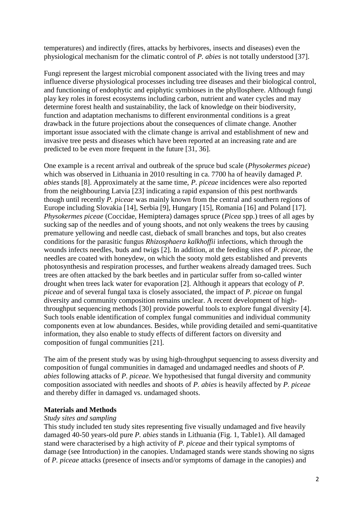temperatures) and indirectly (fires, attacks by herbivores, insects and diseases) even the physiological mechanism for the climatic control of *P. abies* is not totally understood [37].

Fungi represent the largest microbial component associated with the living trees and may influence diverse physiological processes including tree diseases and their biological control, and functioning of endophytic and epiphytic symbioses in the phyllosphere. Although fungi play key roles in forest ecosystems including carbon, nutrient and water cycles and may determine forest health and sustainability, the lack of knowledge on their biodiversity, function and adaptation mechanisms to different environmental conditions is a great drawback in the future projections about the consequences of climate change. Another important issue associated with the climate change is arrival and establishment of new and invasive tree pests and diseases which have been reported at an increasing rate and are predicted to be even more frequent in the future [31, 36].

One example is a recent arrival and outbreak of the spruce bud scale (*Physokermes piceae*) which was observed in Lithuania in 2010 resulting in ca. 7700 ha of heavily damaged *P. abies* stands [8]. Approximately at the same time, *P. piceae* incidences were also reported from the neighbouring Latvia [23] indicating a rapid expansion of this pest northwards though until recently *P. piceae* was mainly known from the central and southern regions of Europe including Slovakia [14], Serbia [9], Hungary [15], Romania [16] and Poland [17]. *Physokermes piceae* (Coccidae, Hemiptera) damages spruce (*Picea* spp.) trees of all ages by sucking sap of the needles and of young shoots, and not only weakens the trees by causing premature yellowing and needle cast, dieback of small branches and tops, but also creates conditions for the parasitic fungus *Rhizosphaera kalkhoffii* infections, which through the wounds infects needles, buds and twigs [2]. In addition, at the feeding sites of *P. piceae*, the needles are coated with honeydew, on which the sooty mold gets established and prevents photosynthesis and respiration processes, and further weakens already damaged trees. Such trees are often attacked by the bark beetles and in particular suffer from so-called winter drought when trees lack water for evaporation [2]. Although it appears that ecology of *P. piceae* and of several fungal taxa is closely associated, the impact of *P. piceae* on fungal diversity and community composition remains unclear. A recent development of highthroughput sequencing methods [30] provide powerful tools to explore fungal diversity [4]. Such tools enable identification of complex fungal communities and individual community components even at low abundances. Besides, while providing detailed and semi-quantitative information, they also enable to study effects of different factors on diversity and composition of fungal communities [21].

The aim of the present study was by using high-throughput sequencing to assess diversity and composition of fungal communities in damaged and undamaged needles and shoots of *P. abies* following attacks of *P. piceae*. We hypothesised that fungal diversity and community composition associated with needles and shoots of *P. abies* is heavily affected by *P. piceae* and thereby differ in damaged vs. undamaged shoots.

# **Materials and Methods**

# *Study sites and sampling*

This study included ten study sites representing five visually undamaged and five heavily damaged 40-50 years-old pure *P. abies* stands in Lithuania (Fig. 1, Table1). All damaged stand were characterised by a high activity of *P. piceae* and their typical symptoms of damage (see Introduction) in the canopies. Undamaged stands were stands showing no signs of *P. piceae* attacks (presence of insects and/or symptoms of damage in the canopies) and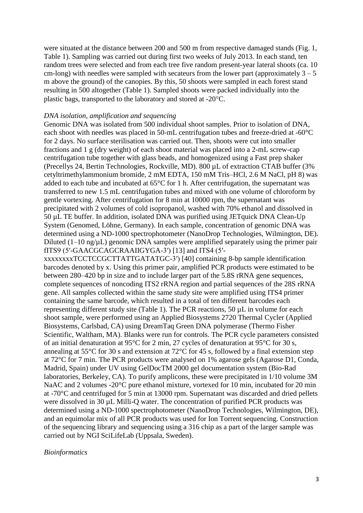were situated at the distance between 200 and 500 m from respective damaged stands (Fig. 1, Table 1). Sampling was carried out during first two weeks of July 2013. In each stand, ten random trees were selected and from each tree five random present-year lateral shoots (ca. 10 cm-long) with needles were sampled with secateurs from the lower part (approximately  $3 - 5$ ) m above the ground) of the canopies. By this, 50 shoots were sampled in each forest stand resulting in 500 altogether (Table 1). Sampled shoots were packed individually into the plastic bags, transported to the laboratory and stored at -20C.

#### *DNA isolation, amplification and sequencing*

Genomic DNA was isolated from 500 individual shoot samples. Prior to isolation of DNA, each shoot with needles was placed in 50-mL centrifugation tubes and freeze-dried at -60°C for 2 days. No surface sterilisation was carried out. Then, shoots were cut into smaller fractions and 1 g (dry weight) of each shoot material was placed into a 2-mL screw-cap centrifugation tube together with glass beads, and homogenized using a Fast prep shaker (Precellys 24, Bertin Technologies, Rockville, MD). 800 µL of extraction CTAB buffer (3% cetyltrimethylammonium bromide, 2 mM EDTA, 150 mM Tris–HCl, 2.6 M NaCl, pH 8) was added to each tube and incubated at 65°C for 1 h. After centrifugation, the supernatant was transferred to new 1.5 mL centrifugation tubes and mixed with one volume of chloroform by gentle vortexing. After centrifugation for 8 min at 10000 rpm, the supernatant was precipitated with 2 volumes of cold isopropanol, washed with 70% ethanol and dissolved in 50 µL TE buffer. In addition, isolated DNA was purified using JETquick DNA Clean-Up System (Genomed, Löhne, Germany). In each sample, concentration of genomic DNA was determined using a ND-1000 spectrophotometer (NanoDrop Technologies, Wilmington, DE). Diluted  $(1-10 \text{ ng/µL})$  genomic DNA samples were amplified separately using the primer pair fITS9 (5′-GAACGCAGCRAAIIGYGA-3′) [13] and ITS4 (5′ xxxxxxxxTCCTCCGCTTATTGATATGC-3′) [40] containing 8-bp sample identification barcodes denoted by x. Using this primer pair, amplified PCR products were estimated to be between 280–420 bp in size and to include larger part of the 5.8S rRNA gene sequences, complete sequences of noncoding ITS2 rRNA region and partial sequences of the 28S rRNA gene. All samples collected within the same study site were amplified using ITS4 primer containing the same barcode, which resulted in a total of ten different barcodes each representing different study site (Table 1). The PCR reactions, 50 µL in volume for each shoot sample, were performed using an Applied Biosystems 2720 Thermal Cycler (Applied Biosystems, Carlsbad, CA) using DreamTaq Green DNA polymerase (Thermo Fisher Scientific, Waltham, MA). Blanks were run for controls. The PCR cycle parameters consisted of an initial denaturation at 95°C for 2 min, 27 cycles of denaturation at 95°C for 30 s, annealing at 55°C for 30 s and extension at 72°C for 45 s, followed by a final extension step at 72°C for 7 min. The PCR products were analysed on 1% agarose gels (Agarose D1, Conda, Madrid, Spain) under UV using GelDocTM 2000 gel documentation system (Bio-Rad laboratories, Berkeley, CA). To purify amplicons, these were precipitated in 1/10 volume 3M NaAC and 2 volumes -20 $^{\circ}$ C pure ethanol mixture, vortexed for 10 min, incubated for 20 min at -70°C and centrifuged for 5 min at 13000 rpm. Supernatant was discarded and dried pellets

were dissolved in 30 µL Milli-Q water. The concentration of purified PCR products was determined using a ND-1000 spectrophotometer (NanoDrop Technologies, Wilmington, DE), and an equimolar mix of all PCR products was used for Ion Torrent sequencing. Construction of the sequencing library and sequencing using a 316 chip as a part of the larger sample was carried out by NGI SciLifeLab (Uppsala, Sweden).

#### *Bioinformatics*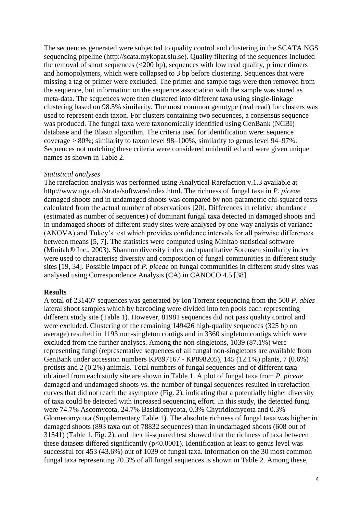The sequences generated were subjected to quality control and clustering in the SCATA NGS sequencing pipeline (http://scata.mykopat.slu.se). Quality filtering of the sequences included the removal of short sequences  $\left( \langle 200 \rangle$  bp), sequences with low read quality, primer dimers and homopolymers, which were collapsed to 3 bp before clustering. Sequences that were missing a tag or primer were excluded. The primer and sample tags were then removed from the sequence, but information on the sequence association with the sample was stored as meta-data. The sequences were then clustered into different taxa using single-linkage clustering based on 98.5% similarity. The most common genotype (real read) for clusters was used to represent each taxon. For clusters containing two sequences, a consensus sequence was produced. The fungal taxa were taxonomically identified using GenBank (NCBI) database and the Blastn algorithm. The criteria used for identification were: sequence coverage > 80%; similarity to taxon level 98–100%, similarity to genus level 94–97%. Sequences not matching these criteria were considered unidentified and were given unique names as shown in Table 2.

#### *Statistical analyses*

The rarefaction analysis was performed using Analytical Rarefaction v.1.3 available at http://www.uga.edu/strata/software/index.html. The richness of fungal taxa in *P. piceae* damaged shoots and in undamaged shoots was compared by non-parametric chi-squared tests calculated from the actual number of observations [20]. Differences in relative abundance (estimated as number of sequences) of dominant fungal taxa detected in damaged shoots and in undamaged shoots of different study sites were analysed by one-way analysis of variance (ANOVA) and Tukey's test which provides confidence intervals for all pairwise differences between means [5, 7]. The statistics were computed using Minitab statistical software (Minitab® Inc., 2003). Shannon diversity index and quantitative Sorensen similarity index were used to characterise diversity and composition of fungal communities in different study sites [19, 34]. Possible impact of *P. piceae* on fungal communities in different study sites was analysed using Correspondence Analysis (CA) in CANOCO 4.5 [38].

#### **Results**

A total of 231407 sequences was generated by Ion Torrent sequencing from the 500 *P. abies*  lateral shoot samples which by barcoding were divided into ten pools each representing different study site (Table 1). However, 81981 sequences did not pass quality control and were excluded. Clustering of the remaining 149426 high-quality sequences (325 bp on average) resulted in 1193 non-singleton contigs and in 3360 singleton contigs which were excluded from the further analyses. Among the non-singletons, 1039 (87.1%) were representing fungi (representative sequences of all fungal non-singletons are available from GenBank under accession numbers KP897167 - KP898205), 145 (12.1%) plants, 7 (0.6%) protists and 2 (0.2%) animals. Total numbers of fungal sequences and of different taxa obtained from each study site are shown in Table 1. A plot of fungal taxa from *P. piceae* damaged and undamaged shoots vs. the number of fungal sequences resulted in rarefaction curves that did not reach the asymptote (Fig. 2), indicating that a potentially higher diversity of taxa could be detected with increased sequencing effort. In this study, the detected fungi were 74.7% Ascomycota, 24.7% Basidiomycota, 0.3% Chytridiomycota and 0.3% Glomeromycota (Supplementary Table 1). The absolute richness of fungal taxa was higher in damaged shoots (893 taxa out of 78832 sequences) than in undamaged shoots (608 out of 31541) (Table 1, Fig. 2), and the chi-squared test showed that the richness of taxa between these datasets differed significantly  $(p<0.0001)$ . Identification at least to genus level was successful for 453 (43.6%) out of 1039 of fungal taxa. Information on the 30 most common fungal taxa representing 70.3% of all fungal sequences is shown in Table 2. Among these,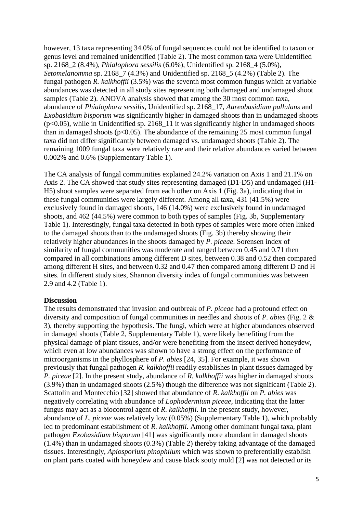however, 13 taxa representing 34.0% of fungal sequences could not be identified to taxon or genus level and remained unidentified (Table 2). The most common taxa were Unidentified sp. 2168\_2 (8.4%), *Phialophora sessilis* (6.0%), Unidentified sp. 2168\_4 (5.0%), *Setomelanomma* sp. 2168\_7 (4.3%) and Unidentified sp. 2168\_5 (4.2%) (Table 2). The fungal pathogen *R. kalkhoffii* (3.5%) was the seventh most common fungus which at variable abundances was detected in all study sites representing both damaged and undamaged shoot samples (Table 2). ANOVA analysis showed that among the 30 most common taxa, abundance of *Phialophora sessilis*, Unidentified sp. 2168\_17, *Aureobasidium pullulans* and *Exobasidium bisporum* was significantly higher in damaged shoots than in undamaged shoots  $(p<0.05)$ , while in Unidentified sp. 2168 11 it was significantly higher in undamaged shoots than in damaged shoots ( $p<0.05$ ). The abundance of the remaining 25 most common fungal taxa did not differ significantly between damaged vs. undamaged shoots (Table 2). The remaining 1009 fungal taxa were relatively rare and their relative abundances varied between 0.002% and 0.6% (Supplementary Table 1).

The CA analysis of fungal communities explained 24.2% variation on Axis 1 and 21.1% on Axis 2. The CA showed that study sites representing damaged (D1-D5) and undamaged (H1- H5) shoot samples were separated from each other on Axis 1 (Fig. 3a), indicating that in these fungal communities were largely different. Among all taxa, 431 (41.5%) were exclusively found in damaged shoots, 146 (14.0%) were exclusively found in undamaged shoots, and 462 (44.5%) were common to both types of samples (Fig. 3b, Supplementary Table 1). Interestingly, fungal taxa detected in both types of samples were more often linked to the damaged shoots than to the undamaged shoots (Fig. 3b) thereby showing their relatively higher abundances in the shoots damaged by *P. piceae*. Sorensen index of similarity of fungal communities was moderate and ranged between 0.45 and 0.71 then compared in all combinations among different D sites, between 0.38 and 0.52 then compared among different H sites, and between 0.32 and 0.47 then compared among different D and H sites. In different study sites, Shannon diversity index of fungal communities was between 2.9 and 4.2 (Table 1).

#### **Discussion**

The results demonstrated that invasion and outbreak of *P. piceae* had a profound effect on diversity and composition of fungal communities in needles and shoots of *P. abies* (Fig. 2 & 3), thereby supporting the hypothesis. The fungi, which were at higher abundances observed in damaged shoots (Table 2, Supplementary Table 1), were likely benefiting from the physical damage of plant tissues, and/or were benefiting from the insect derived honeydew, which even at low abundances was shown to have a strong effect on the performance of microorganisms in the phyllosphere of *P. abies* [24, 35]. For example, it was shown previously that fungal pathogen *R. kalkhoffii* readily establishes in plant tissues damaged by *P. piceae* [2]. In the present study, abundance of *R. kalkhoffii* was higher in damaged shoots (3.9%) than in undamaged shoots (2.5%) though the difference was not significant (Table 2). Scattolin and Montecchio [32] showed that abundance of *R. kalkhoffii* on *P. abies* was negatively correlating with abundance of *Lophodermium piceae*, indicating that the latter fungus may act as a biocontrol agent of *R. kalkhoffii.* In the present study, however, abundance of *L. piceae* was relatively low (0.05%) (Supplementary Table 1), which probably led to predominant establishment of *R. kalkhoffii.* Among other dominant fungal taxa, plant pathogen *Exobasidium bisporum* [41] was significantly more abundant in damaged shoots (1.4%) than in undamaged shoots (0.3%) (Table 2) thereby taking advantage of the damaged tissues. Interestingly, *Apiosporium pinophilum* which was shown to preferentially establish on plant parts coated with honeydew and cause black sooty mold [2] was not detected or its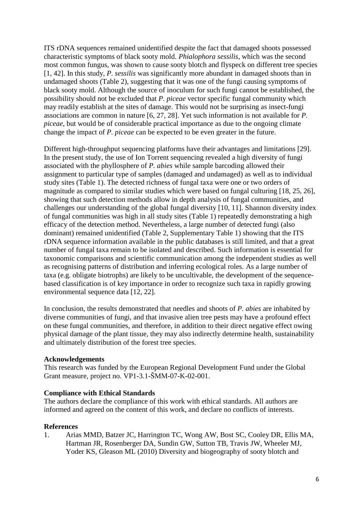ITS rDNA sequences remained unidentified despite the fact that damaged shoots possessed characteristic symptoms of black sooty mold. *Phialophora sessilis*, which was the second most common fungus, was shown to cause sooty blotch and flyspeck on different tree species [1, 42]. In this study, *P. sessilis* was significantly more abundant in damaged shoots than in undamaged shoots (Table 2), suggesting that it was one of the fungi causing symptoms of black sooty mold. Although the source of inoculum for such fungi cannot be established, the possibility should not be excluded that *P. piceae* vector specific fungal community which may readily establish at the sites of damage. This would not be surprising as insect-fungi associations are common in nature [6, 27, 28]. Yet such information is not available for *P. piceae*, but would be of considerable practical importance as due to the ongoing climate change the impact of *P. piceae* can be expected to be even greater in the future.

Different high-throughput sequencing platforms have their advantages and limitations [29]. In the present study, the use of Ion Torrent sequencing revealed a high diversity of fungi associated with the phyllosphere of *P. abies* while sample barcoding allowed their assignment to particular type of samples (damaged and undamaged) as well as to individual study sites (Table 1). The detected richness of fungal taxa were one or two orders of magnitude as compared to similar studies which were based on fungal culturing [18, 25, 26], showing that such detection methods allow in depth analysis of fungal communities, and challenges our understanding of the global fungal diversity [10, 11]. Shannon diversity index of fungal communities was high in all study sites (Table 1) repeatedly demonstrating a high efficacy of the detection method. Nevertheless, a large number of detected fungi (also dominant) remained unidentified (Table 2, Supplementary Table 1) showing that the ITS rDNA sequence information available in the public databases is still limited, and that a great number of fungal taxa remain to be isolated and described. Such information is essential for taxonomic comparisons and scientific communication among the independent studies as well as recognising patterns of distribution and inferring ecological roles. As a large number of taxa (e.g. obligate biotrophs) are likely to be uncultivable, the development of the sequencebased classification is of key importance in order to recognize such taxa in rapidly growing environmental sequence data [12, 22].

In conclusion, the results demonstrated that needles and shoots of *P. abies* are inhabited by diverse communities of fungi, and that invasive alien tree pests may have a profound effect on these fungal communities, and therefore, in addition to their direct negative effect owing physical damage of the plant tissue, they may also indirectly determine health, sustainability and ultimately distribution of the forest tree species.

# **Acknowledgements**

This research was funded by the European Regional Development Fund under the Global Grant measure, project no. VP1-3.1-ŠMM-07-K-02-001.

# **Compliance with Ethical Standards**

The authors declare the compliance of this work with ethical standards. All authors are informed and agreed on the content of this work, and declare no conflicts of interests.

# **References**

1. Arias MMD, Batzer JC, Harrington TC, Wong AW, Bost SC, Cooley DR, Ellis MA, Hartman JR, Rosenberger DA, Sundin GW, Sutton TB, Travis JW, Wheeler MJ, Yoder KS, Gleason ML (2010) Diversity and biogeography of sooty blotch and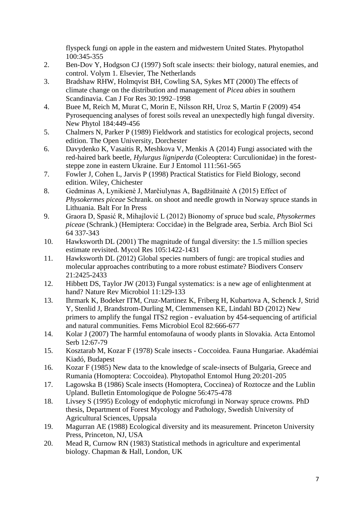flyspeck fungi on apple in the eastern and midwestern United States. Phytopathol 100:345-355

- 2. Ben-Dov Y, Hodgson CJ (1997) Soft scale insects: their biology, natural enemies, and control. Volym 1. Elsevier, The Netherlands
- 3. Bradshaw RHW, Holmqvist BH, Cowling SA, Sykes MT (2000) The effects of climate change on the distribution and management of *Picea abies* in southern Scandinavia. Can J For Res 30:1992–1998
- 4. Buee M, Reich M, Murat C, Morin E, Nilsson RH, Uroz S, Martin F (2009) 454 Pyrosequencing analyses of forest soils reveal an unexpectedly high fungal diversity. New Phytol 184:449-456
- 5. Chalmers N, Parker P (1989) Fieldwork and statistics for ecological projects, second edition. The Open University, Dorchester
- 6. Davydenko K, Vasaitis R, Meshkova V, Menkis A (2014) Fungi associated with the red-haired bark beetle, *Hylurgus ligniperda* (Coleoptera: Curculionidae) in the foreststeppe zone in eastern Ukraine. Eur J Entomol 111:561-565
- 7. Fowler J, Cohen L, Jarvis P (1998) Practical Statistics for Field Biology, second edition. Wiley, Chichester
- 8. Gedminas A, Lynikienė J, Marčiulynas A, Bagdžiūnaitė A (2015) Effect of *Physokermes piceae* Schrank. on shoot and needle growth in Norway spruce stands in Lithuania. Balt For In Press
- 9. Graora D, Spasić R, Mihajlović L (2012) Bionomy of spruce bud scale, *Physokermes piceae* (Schrank.) (Hemiptera: Coccidae) in the Belgrade area, Serbia. Arch Biol Sci 64 337-343
- 10. Hawksworth DL (2001) The magnitude of fungal diversity: the 1.5 million species estimate revisited. Mycol Res 105:1422-1431
- 11. Hawksworth DL (2012) Global species numbers of fungi: are tropical studies and molecular approaches contributing to a more robust estimate? Biodivers Conserv 21:2425-2433
- 12. Hibbett DS, Taylor JW (2013) Fungal systematics: is a new age of enlightenment at hand? Nature Rev Microbiol 11:129-133
- 13. Ihrmark K, Bodeker ITM, Cruz-Martinez K, Friberg H, Kubartova A, Schenck J, Strid Y, Stenlid J, Brandstrom-Durling M, Clemmensen KE, Lindahl BD (2012) New primers to amplify the fungal ITS2 region - evaluation by 454-sequencing of artificial and natural communities. Fems Microbiol Ecol 82:666-677
- 14. Kolar J (2007) The harmful entomofauna of woody plants in Slovakia. Acta Entomol Serb 12:67-79
- 15. Kosztarab M, Kozar F (1978) Scale insects Coccoidea. Fauna Hungariae. Akadémiai Kiadó, Budapest
- 16. Kozar F (1985) New data to the knowledge of scale-insects of Bulgaria, Greece and Rumania (Homoptera: Coccoidea). Phytopathol Entomol Hung 20:201-205
- 17. Lagowska B (1986) Scale insects (Homoptera, Coccinea) of Roztocze and the Lublin Upland. Bulletin Entomologique de Pologne 56:475-478
- 18. Livsey S (1995) Ecology of endophytic microfungi in Norway spruce crowns. PhD thesis, Department of Forest Mycology and Pathology, Swedish University of Agricultural Sciences, Uppsala
- 19. Magurran AE (1988) Ecological diversity and its measurement. Princeton University Press, Princeton, NJ, USA
- 20. Mead R, Curnow RN (1983) Statistical methods in agriculture and experimental biology. Chapman & Hall, London, UK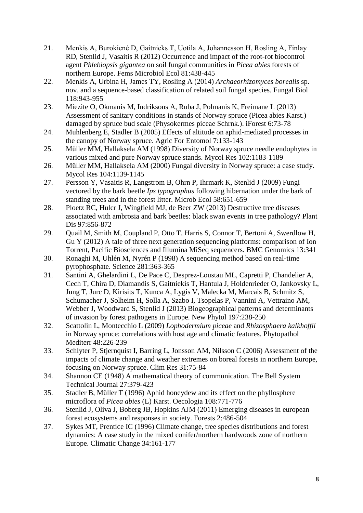- 21. Menkis A, Burokienė D, Gaitnieks T, Uotila A, Johannesson H, Rosling A, Finlay RD, Stenlid J, Vasaitis R (2012) Occurrence and impact of the root-rot biocontrol agent *Phlebiopsis gigantea* on soil fungal communities in *Picea abies* forests of northern Europe. Fems Microbiol Ecol 81:438-445
- 22. Menkis A, Urbina H, James TY, Rosling A (2014) *Archaeorhizomyces borealis* sp. nov. and a sequence-based classification of related soil fungal species. Fungal Biol 118:943-955
- 23. Miezite O, Okmanis M, Indriksons A, Ruba J, Polmanis K, Freimane L (2013) Assessment of sanitary conditions in stands of Norway spruce (Picea abies Karst.) damaged by spruce bud scale (Physokermes piceae Schrnk.). iForest 6:73-78
- 24. Muhlenberg E, Stadler B (2005) Effects of altitude on aphid-mediated processes in the canopy of Norway spruce. Agric For Entomol 7:133-143
- 25. Müller MM, Hallaksela AM (1998) Diversity of Norway spruce needle endophytes in various mixed and pure Norway spruce stands. Mycol Res 102:1183-1189
- 26. Müller MM, Hallaksela AM (2000) Fungal diversity in Norway spruce: a case study. Mycol Res 104:1139-1145
- 27. Persson Y, Vasaitis R, Langstrom B, Ohrn P, Ihrmark K, Stenlid J (2009) Fungi vectored by the bark beetle *Ips typographus* following hibernation under the bark of standing trees and in the forest litter. Microb Ecol 58:651-659
- 28. Ploetz RC, Hulcr J, Wingfield MJ, de Beer ZW (2013) Destructive tree diseases associated with ambrosia and bark beetles: black swan events in tree pathology? Plant Dis 97:856-872
- 29. Quail M, Smith M, Coupland P, Otto T, Harris S, Connor T, Bertoni A, Swerdlow H, Gu Y (2012) A tale of three next generation sequencing platforms: comparison of Ion Torrent, Pacific Biosciences and Illumina MiSeq sequencers. BMC Genomics 13:341
- 30. Ronaghi M, Uhlén M, Nyrén P (1998) A sequencing method based on real-time pyrophosphate. Science 281:363-365
- 31. Santini A, Ghelardini L, De Pace C, Desprez-Loustau ML, Capretti P, Chandelier A, Cech T, Chira D, Diamandis S, Gaitniekis T, Hantula J, Holdenrieder O, Jankovsky L, Jung T, Jurc D, Kirisits T, Kunca A, Lygis V, Malecka M, Marcais B, Schmitz S, Schumacher J, Solheim H, Solla A, Szabo I, Tsopelas P, Vannini A, Vettraino AM, Webber J, Woodward S, Stenlid J (2013) Biogeographical patterns and determinants of invasion by forest pathogens in Europe. New Phytol 197:238-250
- 32. Scattolin L, Montecchio L (2009) *Lophodermium piceae* and *Rhizosphaera kalkhoffii* in Norway spruce: correlations with host age and climatic features. Phytopathol Mediterr 48:226-239
- 33. Schlyter P, Stjernquist I, Barring L, Jonsson AM, Nilsson C (2006) Assessment of the impacts of climate change and weather extremes on boreal forests in northern Europe, focusing on Norway spruce. Clim Res 31:75-84
- 34. Shannon CE (1948) A mathematical theory of communication. The Bell System Technical Journal 27:379-423
- 35. Stadler B, Müller T (1996) Aphid honeydew and its effect on the phyllosphere microflora of *Picea abies* (L) Karst. Oecologia 108:771-776
- 36. Stenlid J, Oliva J, Boberg JB, Hopkins AJM (2011) Emerging diseases in european forest ecosystems and responses in society. Forests 2:486-504
- 37. Sykes MT, Prentice IC (1996) Climate change, tree species distributions and forest dynamics: A case study in the mixed conifer/northern hardwoods zone of northern Europe. Climatic Change 34:161-177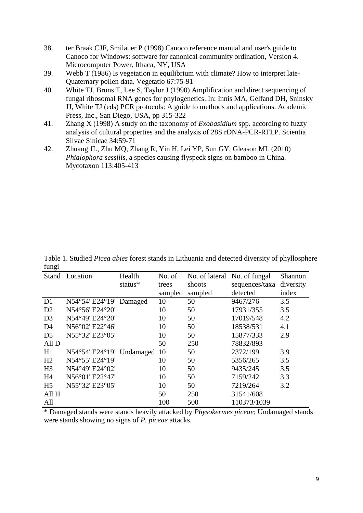- 38. ter Braak CJF, Smilauer P (1998) Canoco reference manual and user's guide to Canoco for Windows: software for canonical community ordination, Version 4. Microcomputer Power, Ithaca, NY, USA
- 39. Webb T (1986) Is vegetation in equilibrium with climate? How to interpret late-Quaternary pollen data. Vegetatio 67:75-91
- 40. White TJ, Bruns T, Lee S, Taylor J (1990) Amplification and direct sequencing of fungal ribosomal RNA genes for phylogenetics. In: Innis MA, Gelfand DH, Sninsky JJ, White TJ (eds) PCR protocols: A guide to methods and applications. Academic Press, Inc., San Diego, USA, pp 315-322
- 41. Zhang X (1998) A study on the taxonomy of *Exobasidium* spp. according to fuzzy analysis of cultural properties and the analysis of 28S rDNA-PCR-RFLP. Scientia Silvae Sinicae 34:59-71
- 42. Zhuang JL, Zhu MQ, Zhang R, Yin H, Lei YP, Sun GY, Gleason ML (2010) *Phialophora sessilis*, a species causing flyspeck signs on bamboo in China. Mycotaxon 113:405-413

|                | Stand Location                          | Health  | No. of    | No. of lateral No. of fungal |                | Shannon   |  |
|----------------|-----------------------------------------|---------|-----------|------------------------------|----------------|-----------|--|
|                |                                         | status* | trees     | shoots                       | sequences/taxa | diversity |  |
|                |                                         |         | sampled   | sampled                      | detected       | index     |  |
| D <sub>1</sub> | $N54^{\circ}54' E24^{\circ}19'$ Damaged |         | 10        | 50                           | 9467/276       | 3.5       |  |
| D2             | N54°56' E24°20'                         |         | 10        | 50                           | 17931/355      | 3.5       |  |
| D <sub>3</sub> | N54°49' E24°20'                         |         | 10        | 50                           | 17019/548      | 4.2       |  |
| D <sub>4</sub> | N56°02' E22°46'                         |         | 10        | 50                           | 18538/531      | 4.1       |  |
| D <sub>5</sub> | N55°32' E23°05'                         |         | 10        | 50                           | 15877/333      | 2.9       |  |
| All D          |                                         |         | 50        | 250                          | 78832/893      |           |  |
| H1             | N54°54' E24°19' Undamaged               |         | <b>10</b> | 50                           | 2372/199       | 3.9       |  |
| H <sub>2</sub> | N54°55' E24°19'                         |         | 10        | 50                           | 5356/265       | 3.5       |  |
| H <sub>3</sub> | N54°49' E24°02'                         |         | 10        | 50                           | 9435/245       | 3.5       |  |
| H <sub>4</sub> | N56°01' E22°47'                         |         | 10        | 50                           | 7159/242       | 3.3       |  |
| H <sub>5</sub> | N55°32' E23°05'                         |         | 10        | 50                           | 7219/264       | 3.2       |  |
| All H          |                                         |         | 50        | 250                          | 31541/608      |           |  |
| All            |                                         |         | 100       | 500                          | 110373/1039    |           |  |

Table 1. Studied *Picea abies* forest stands in Lithuania and detected diversity of phyllosphere fungi

\* Damaged stands were stands heavily attacked by *Physokermes piceae*; Undamaged stands were stands showing no signs of *P. piceae* attacks.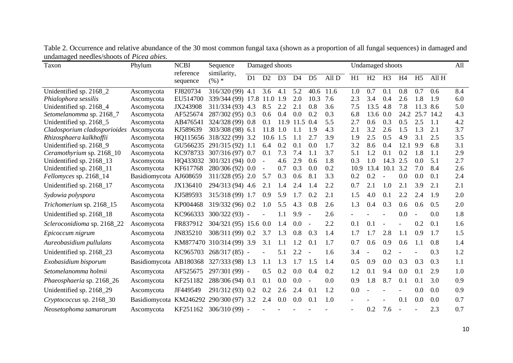| Taxon                        | Phylum                                  | <b>NCBI</b><br>reference<br>sequence | Sequence<br>similarity,<br>$(\%) *$ | Damaged shoots |                          |                |                |                |       |      | Undamaged shoots |                          |                |                |       |     |
|------------------------------|-----------------------------------------|--------------------------------------|-------------------------------------|----------------|--------------------------|----------------|----------------|----------------|-------|------|------------------|--------------------------|----------------|----------------|-------|-----|
|                              |                                         |                                      |                                     | D1             | D2                       | D <sub>3</sub> | D <sub>4</sub> | D <sub>5</sub> | All D | H1   | H2               | H <sub>3</sub>           | H <sub>4</sub> | H <sub>5</sub> | All H |     |
| Unidentified sp. 2168_2      | Ascomycota                              | FJ820734                             | 316/320 (99) 4.1                    |                | 3.6                      | 4.1            | 5.2            | 40.6           | 11.6  | 1.0  | 0.7              | 0.1                      | 0.8            | 0.7            | 0.6   | 8.4 |
| Phialophora sessilis         | Ascomycota                              | EU514700                             | 339/344 (99) 17.8 11.0 1.9          |                |                          |                | 2.0            | 10.3           | 7.6   | 2.3  | 3.4              | 0.4                      | 2.6            | 1.8            | 1.9   | 6.0 |
| Unidentified sp. 2168_4      | Ascomycota                              | JX243908                             | 311/334 (93) 4.3                    |                | 8.5                      | 2.2            | 2.1            | 0.8            | 3.6   | 7.5  | 13.5             | 4.8                      | 7.8            | 11.3           | 8.6   | 5.0 |
| Setomelanomma sp. 2168_7     | Ascomycota                              | AF525674                             | 287/302 (95) 0.3                    |                | 0.6                      | 0.4            | $0.0\,$        | 0.2            | 0.3   | 6.8  | 13.6             | 0.0                      | 24.2           | 25.7           | 14.2  | 4.3 |
| Unidentified sp. 2168_5      | Ascomycota                              | AB476541                             | 324/328 (99) 0.8                    |                | 0.1                      |                | 11.9 11.5 0.4  |                | 5.5   | 2.7  | 0.6              | 0.3                      | 0.5            | 2.5            | 1.1   | 4.2 |
| Cladosporium cladosporioides | Ascomycota                              | KJ589639                             | 303/308 (98) 6.1                    |                | 11.8                     | 1.0            | 1.1            | 1.9            | 4.3   | 2.1  | 3.2              | 2.6                      | 1.5            | 1.3            | 2.1   | 3.7 |
| Rhizosphaera kalkhoffii      | Ascomycota                              | HQ115656                             | 318/322 (99) 3.2                    |                | 10.6 1.5                 |                | 1.1            | 2.7            | 3.9   | 1.9  | 2.5              | 0.5                      | 4.9            | 3.1            | 2.5   | 3.5 |
| Unidentified sp. 2168_9      | Ascomycota                              | GU566235                             | 291/315 (92) 1.1                    |                | 6.4                      | 0.2            | 0.1            | 0.0            | 1.7   | 3.2  | 8.6              | 0.4                      | 12.1           | 9.9            | 6.8   | 3.1 |
| Ceramothyrium sp. 2168_10    | Ascomycota                              | KC978733                             | 307/316 (97) 0.7                    |                | 0.1                      | 7.3            | 7.4            | 1.1            | 3.7   | 5.1  | 1.2              | 0.1                      | 0.2            | 1.8            | 1.1   | 2.9 |
| Unidentified sp. 2168_13     | Ascomycota                              | HQ433032                             | 301/321 (94) 0.0                    |                | $\overline{\phantom{a}}$ | 4.6            | 2.9            | 0.6            | 1.8   | 0.3  | 1.0              | 14.3                     | 2.5            | 0.0            | 5.1   | 2.7 |
| Unidentified sp. 2168_11     | Ascomycota                              | KF617768                             | 280/306 (92) 0.0                    |                |                          | 0.7            | 0.3            | 0.0            | 0.2   | 10.9 | 13.4             | 10.1                     | 3.2            | 7.0            | 8.4   | 2.6 |
| Fellomyces sp. 2168_14       | Basidiomycota                           | AJ608659                             | 311/328 (95) 2.0                    |                | 5.7                      | 0.3            | 0.6            | 8.1            | 3.3   | 0.2  | 0.2              | $\overline{\phantom{a}}$ | 0.0            | 0.0            | 0.1   | 2.4 |
| Unidentified sp. 2168_17     | Ascomycota                              | JX136410                             | 294/313 (94) 4.6                    |                | 2.1                      | 1.4            | 2.4            | 1.4            | 2.2   | 0.7  | 2.1              | 1.0                      | 2.1            | 3.9            | 2.1   | 2.1 |
| Sydowia polyspora            | Ascomycota                              | KJ589593                             | 315/318 (99) 1.7                    |                | 0.9                      | 5.9            | 1.7            | 0.2            | 2.1   | 1.5  | 4.0              | 0.1                      | 2.2            | 2.4            | 1.9   | 2.0 |
| Trichomerium sp. 2168_15     | Ascomycota                              | KP004468                             | 319/332 (96) 0.2                    |                | 1.0                      | 5.5            | 4.3            | 0.8            | 2.6   | 1.3  | 0.4              | 0.3                      | 0.6            | 0.6            | 0.5   | 2.0 |
| Unidentified sp. 2168_18     | Ascomycota                              | KC966333                             | 300/322 (93) -                      |                |                          | 1.1            | 9.9            |                | 2.6   |      |                  |                          | 0.0            |                | 0.0   | 1.8 |
| Scleroconidioma sp. 2168_22  | Ascomycota                              | FR837912                             | 304/321 (95) 15.6 0.0               |                |                          | 1.4            | 0.0            |                | 2.2   | 0.1  | 0.1              |                          | $\blacksquare$ | 0.2            | 0.1   | 1.6 |
| Epicoccum nigrum             | Ascomycota                              | JN835210                             | 308/311 (99) 0.2                    |                | 3.7                      | 1.3            | 0.8            | 0.3            | 1.4   | 1.7  | 1.7              | 2.8                      | 1.1            | 0.9            | 1.7   | 1.5 |
| Aureobasidium pullulans      | Ascomycota                              |                                      | KM877470 310/314 (99) 3.9           |                | 3.1                      | 1.1            | 1.2            | 0.1            | 1.7   | 0.7  | 0.6              | 0.9                      | 0.6            | 1.1            | 0.8   | 1.4 |
| Unidentified sp. 2168_23     | Ascomycota                              | KC965703                             | 268/317 (85) -                      |                |                          | 5.1            | 2.2            |                | 1.6   | 3.4  |                  | 0.2                      |                |                | 0.3   | 1.2 |
| Exobasidium bisporum         | Basidiomycota AB180368                  |                                      | 327/333 (98) 1.3                    |                | 1.1                      | 1.3            | 1.7            | 1.5            | 1.4   | 0.5  | 0.9              | 0.0                      | 0.3            | 0.3            | 0.3   | 1.1 |
| Setomelanomma holmii         | Ascomycota                              | AF525675                             | 297/301 (99) -                      |                | 0.5                      | 0.2            | 0.0            | 0.4            | 0.2   | 1.2  | 0.1              | 9.4                      | 0.0            | 0.1            | 2.9   | 1.0 |
| Phaeosphaeria sp. 2168_26    | Ascomycota                              | KF251182                             | 288/306 (94) 0.1                    |                | 0.1                      | 0.0            | 0.0            | $\sim$         | 0.0   | 0.9  | 1.8              | 8.7                      | 0.1            | 0.1            | 3.0   | 0.9 |
| Unidentified sp. 2168_29     | Ascomycota                              | JF449549                             | 291/312 (93) 0.2                    |                | 0.2                      | 2.6            | 2.4            | 0.1            | 1.2   | 0.0  |                  |                          |                | 0.0            | 0.0   | 0.9 |
| Cryptococcus sp. 2168_30     | Basidiomycota KM246292 290/300 (97) 3.2 |                                      |                                     |                | 2.4                      | 0.0            | 0.0            | 0.1            | 1.0   |      |                  |                          | 0.1            | 0.0            | 0.0   | 0.7 |
| Neosetophoma samarorum       | Ascomycota                              | KF251162                             | 306/310 (99) -                      |                |                          |                |                |                |       |      | 0.2              | 7.6                      |                |                | 2.3   | 0.7 |

Table 2. Occurrence and relative abundance of the 30 most common fungal taxa (shown as a proportion of all fungal sequences) in damaged and undamaged needles/shoots of *Picea abies.*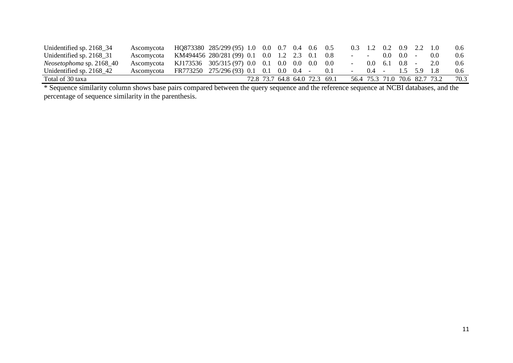| Unidentified sp. 2168_34    | Ascomycota                                               | HQ873380 285/299 (95) 1.0 0.0 0.7 0.4 0.6 0.5 |  |  |                               |     |                        | $0.3$ 1.2 0.2 0.9 2.2 1.0         |                   |             |                               | 0.6  |
|-----------------------------|----------------------------------------------------------|-----------------------------------------------|--|--|-------------------------------|-----|------------------------|-----------------------------------|-------------------|-------------|-------------------------------|------|
| Unidentified sp. $2168\_31$ | Ascomycota                                               | KM494456 280/281 (99) 0.1 0.0 1.2 2.3 0.1 0.8 |  |  |                               |     | <b>Service</b> Service |                                   | $0.0 \quad 0.0 -$ |             | 0.0                           | 0.6  |
| Neosetophoma sp. 2168_40    | Ascomycota KJ173536 305/315 (97) 0.0 0.1 0.0 0.0 0.0 0.0 |                                               |  |  |                               |     |                        | $0.0 \quad 6.1 \quad 0.8 \quad -$ |                   |             | 2.0                           | 0.6  |
| Unidentified sp. 2168 42    | Ascomveota                                               | FR773250 275/296 (93) 0.1 0.1 0.0 0.4 -       |  |  |                               | 0.1 |                        | $0.4 -$                           |                   | 1.5 5.9 1.8 |                               | 0.6  |
| Total of 30 taxa            |                                                          |                                               |  |  | 72.8 73.7 64.8 64.0 72.3 69.1 |     |                        |                                   |                   |             | 56.4 75.3 71.0 70.6 82.7 73.2 | 70.3 |

\* Sequence similarity column shows base pairs compared between the query sequence and the reference sequence at NCBI databases, and the percentage of sequence similarity in the parenthesis.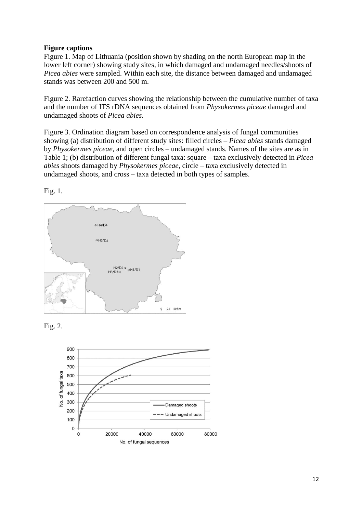# **Figure captions**

Figure 1. Map of Lithuania (position shown by shading on the north European map in the lower left corner) showing study sites, in which damaged and undamaged needles/shoots of *Picea abies* were sampled. Within each site, the distance between damaged and undamaged stands was between 200 and 500 m.

Figure 2. Rarefaction curves showing the relationship between the cumulative number of taxa and the number of ITS rDNA sequences obtained from *Physokermes piceae* damaged and undamaged shoots of *Picea abies*.

Figure 3. Ordination diagram based on correspondence analysis of fungal communities showing (a) distribution of different study sites: filled circles – *Picea abies* stands damaged by *Physokermes piceae*, and open circles – undamaged stands. Names of the sites are as in Table 1; (b) distribution of different fungal taxa: square – taxa exclusively detected in *Picea abies* shoots damaged by *Physokermes piceae*, circle – taxa exclusively detected in undamaged shoots, and cross – taxa detected in both types of samples.







Fig. 1.